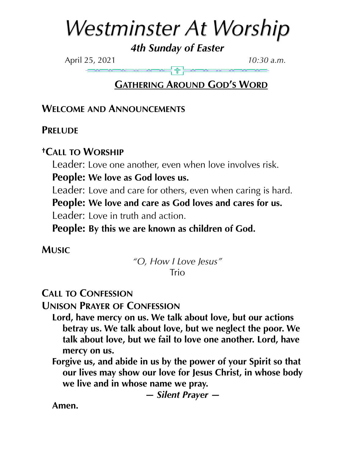# *Westminster At Worship*

*4th Sunday of Easter* 

April 25, 2021 *10:30 a.m.*

# **GATHERING AROUND GOD'S WORD**

## **WELCOME AND ANNOUNCEMENTS**

**PRELUDE** 

## **†CALL TO WORSHIP**

Leader: Love one another, even when love involves risk.

**People: We love as God loves us.** 

Leader: Love and care for others, even when caring is hard.

**People: We love and care as God loves and cares for us.** 

Leader: Love in truth and action.

**People: By this we are known as children of God.**

**MUSIC**

*"O, How I Love Jesus"*  Trio

# **CALL TO CONFESSION**

**UNISON PRAYER OF CONFESSION**

- **Lord, have mercy on us. We talk about love, but our actions betray us. We talk about love, but we neglect the poor. We talk about love, but we fail to love one another. Lord, have mercy on us.**
- **Forgive us, and abide in us by the power of your Spirit so that our lives may show our love for Jesus Christ, in whose body we live and in whose name we pray.**

*— Silent Prayer —* 

**Amen.**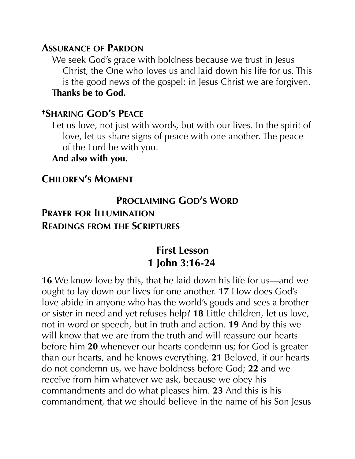#### **ASSURANCE OF PARDON**

We seek God's grace with boldness because we trust in Jesus Christ, the One who loves us and laid down his life for us. This is the good news of the gospel: in Jesus Christ we are forgiven. **Thanks be to God.**

#### **†SHARING GOD'S PEACE**

Let us love, not just with words, but with our lives. In the spirit of love, let us share signs of peace with one another. The peace of the Lord be with you.

#### **And also with you.**

## **CHILDREN'S MOMENT**

#### **PROCLAIMING GOD'S WORD**

#### **PRAYER FOR ILLUMINATION READINGS FROM THE SCRIPTURES**

# **First Lesson 1 John 3:16-24**

**16** We know love by this, that he laid down his life for us—and we ought to lay down our lives for one another. **17** How does God's love abide in anyone who has the world's goods and sees a brother or sister in need and yet refuses help? **18** Little children, let us love, not in word or speech, but in truth and action. **19** And by this we will know that we are from the truth and will reassure our hearts before him **20** whenever our hearts condemn us; for God is greater than our hearts, and he knows everything. **21** Beloved, if our hearts do not condemn us, we have boldness before God; **22** and we receive from him whatever we ask, because we obey his commandments and do what pleases him. **23** And this is his commandment, that we should believe in the name of his Son Jesus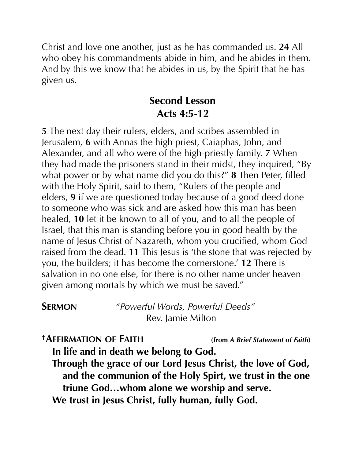Christ and love one another, just as he has commanded us. **24** All who obey his commandments abide in him, and he abides in them. And by this we know that he abides in us, by the Spirit that he has given us.

# **Second Lesson Acts 4:5-12**

**5** The next day their rulers, elders, and scribes assembled in Jerusalem, **6** with Annas the high priest, Caiaphas, John, and Alexander, and all who were of the high-priestly family. **7** When they had made the prisoners stand in their midst, they inquired, "By what power or by what name did you do this?" **8** Then Peter, filled with the Holy Spirit, said to them, "Rulers of the people and elders, **9** if we are questioned today because of a good deed done to someone who was sick and are asked how this man has been healed, **10** let it be known to all of you, and to all the people of Israel, that this man is standing before you in good health by the name of Jesus Christ of Nazareth, whom you crucified, whom God raised from the dead. **11** This Jesus is 'the stone that was rejected by you, the builders; it has become the cornerstone.' **12** There is salvation in no one else, for there is no other name under heaven given among mortals by which we must be saved."

**SERMON** *"Powerful Words, Powerful Deeds"* Rev. Jamie Milton

**†AFFIRMATION OF FAITH (from** *A Brief Statement of Faith***) In life and in death we belong to God. Through the grace of our Lord Jesus Christ, the love of God, and the communion of the Holy Spirt, we trust in the one triune God…whom alone we worship and serve. We trust in Jesus Christ, fully human, fully God.**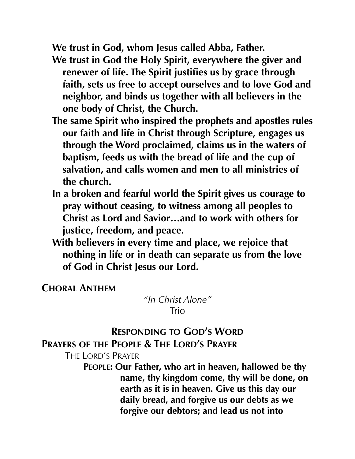**We trust in God, whom Jesus called Abba, Father.** 

- **We trust in God the Holy Spirit, everywhere the giver and renewer of life. The Spirit justifies us by grace through faith, sets us free to accept ourselves and to love God and neighbor, and binds us together with all believers in the one body of Christ, the Church.**
- **The same Spirit who inspired the prophets and apostles rules our faith and life in Christ through Scripture, engages us through the Word proclaimed, claims us in the waters of baptism, feeds us with the bread of life and the cup of salvation, and calls women and men to all ministries of the church.**
- **In a broken and fearful world the Spirit gives us courage to pray without ceasing, to witness among all peoples to Christ as Lord and Savior…and to work with others for justice, freedom, and peace.**
- **With believers in every time and place, we rejoice that nothing in life or in death can separate us from the love of God in Christ Jesus our Lord.**

**CHORAL ANTHEM**

*"In Christ Alone"*  Trio

#### **RESPONDING TO GOD'S WORD**

#### **PRAYERS OF THE PEOPLE & THE LORD'S PRAYER**

THE LORD'S PRAYER

**PEOPLE: Our Father, who art in heaven, hallowed be thy name, thy kingdom come, thy will be done, on earth as it is in heaven. Give us this day our daily bread, and forgive us our debts as we forgive our debtors; and lead us not into**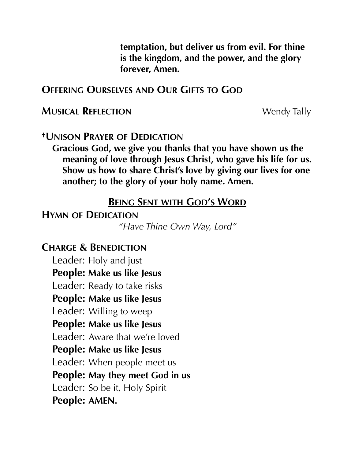**temptation, but deliver us from evil. For thine is the kingdom, and the power, and the glory forever, Amen.** 

#### **OFFERING OURSELVES AND OUR GIFTS TO GOD**

#### **MUSICAL REFLECTION Wendy Tally**

#### **†UNISON PRAYER OF DEDICATION**

**Gracious God, we give you thanks that you have shown us the meaning of love through Jesus Christ, who gave his life for us. Show us how to share Christ's love by giving our lives for one another; to the glory of your holy name. Amen.** 

#### **BEING SENT WITH GOD'S WORD**

#### **HYMN OF DEDICATION**

*"Have Thine Own Way, Lord"* 

## **CHARGE & BENEDICTION**

Leader: Holy and just **People: Make us like Jesus**  Leader: Ready to take risks **People: Make us like Jesus**  Leader: Willing to weep **People: Make us like Jesus**  Leader: Aware that we're loved **People: Make us like Jesus**  Leader: When people meet us **People: May they meet God in us**  Leader: So be it, Holy Spirit **People: AMEN.**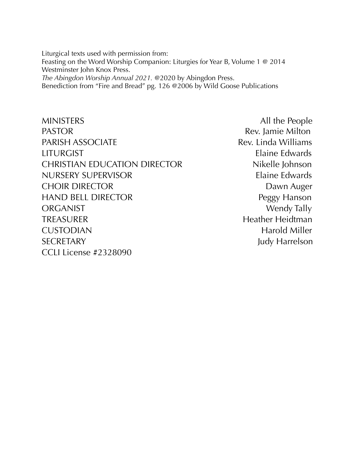Liturgical texts used with permission from: Feasting on the Word Worship Companion: Liturgies for Year B, Volume 1 @ 2014 Westminster John Knox Press. *The Abingdon Worship Annual 2021.* @2020 by Abingdon Press.

Benediction from "Fire and Bread" pg. 126 @2006 by Wild Goose Publications

MINISTERS All the People PASTOR **Rev.** Jamie Milton PARISH ASSOCIATE Rev. Linda Williams LITURGIST Elaine Edwards CHRISTIAN EDUCATION DIRECTOR Nikelle Johnson NURSERY SUPERVISOR Elaine Edwards CHOIR DIRECTOR DAWN Auger HAND BELL DIRECTOR Peggy Hanson ORGANIST Wendy Tally TREASURER Heidtman Heather Heidtman CUSTODIAN Harold Miller SECRETARY Judy Harrelson CCLI License #2328090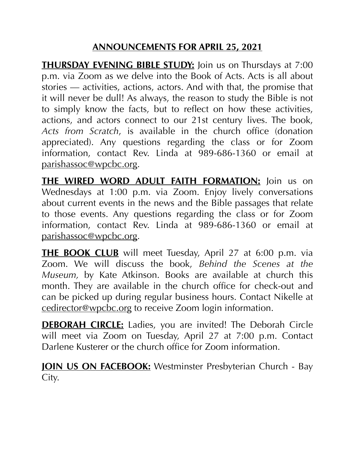#### **ANNOUNCEMENTS FOR APRIL 25, 2021**

**THURSDAY EVENING BIBLE STUDY:** Join us on Thursdays at 7:00 p.m. via Zoom as we delve into the Book of Acts. Acts is all about stories — activities, actions, actors. And with that, the promise that it will never be dull! As always, the reason to study the Bible is not to simply know the facts, but to reflect on how these activities, actions, and actors connect to our 21st century lives. The book, *Acts from Scratch*, is available in the church office (donation appreciated). Any questions regarding the class or for Zoom information, contact Rev. Linda at 989-686-1360 or email at [parishassoc@wpcbc.org.](mailto:parishassoc@wpcbc.org)

**THE WIRED WORD ADULT FAITH FORMATION:** Join us on Wednesdays at 1:00 p.m. via Zoom. Enjoy lively conversations about current events in the news and the Bible passages that relate to those events. Any questions regarding the class or for Zoom information, contact Rev. Linda at 989-686-1360 or email at [parishassoc@wpcbc.org.](mailto:parishassoc@wpcbc.org)

**THE BOOK CLUB** will meet Tuesday, April 27 at 6:00 p.m. via Zoom. We will discuss the book, *Behind the Scenes at the Museum,* by Kate Atkinson. Books are available at church this month. They are available in the church office for check-out and can be picked up during regular business hours. Contact Nikelle at [cedirector@wpcbc.org](mailto:cedirector@wpcbc.org) to receive Zoom login information.

**DEBORAH CIRCLE:** Ladies, you are invited! The Deborah Circle will meet via Zoom on Tuesday, April 27 at 7:00 p.m. Contact Darlene Kusterer or the church office for Zoom information.

**JOIN US ON FACEBOOK:** Westminster Presbyterian Church - Bay City.